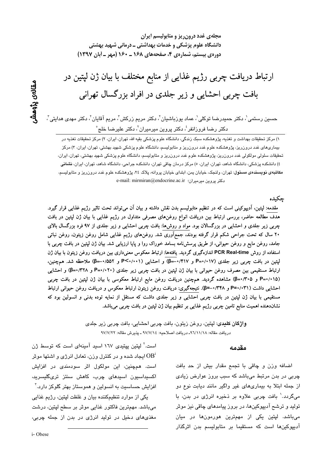مجلهی غدد درون ریز و متابولیسم ایران دانشگاه علوم پزشکی و خدمات بهداشتی ــ درمانی شهید بهشتی دورهی بیستم، شمارهی ۴، صفحههای ۱۶۸ ـ ۱۶۰ (مهر ـ آبان ۱۳۹۷)

# ارتباط دریافت چربی رژیم غذایی از منابع مختلف با بیان ژن لپتین در بافت چربی احشایی و زیر جلدی در افراد بزرگسال تهرانی

حسين رستمی'، دکتر حمیدرضـا توکلی'، عماد پورباشيان<sup>'</sup>، دکتر مريم زرکش<sup>'</sup>، مريم آقايان'، دکتر مهدی هدايتی<sup>'</sup>، دکتر رضا فروزانفر ٔ، دکتر پروین میرمیران'، دکتر علیرضا خلج ْ

۱) مرکز تحقیقات بهداشت و تغذیه، پژوهشکده سبک زندگی، دانشگاه علوم پزشکی بقیه الله، تهران، ایران، ۲) مرکز تحقیقات تغذیه در بیماریهای غدد درونریز، پژوهشکده علوم غدد درونریز و متابولیسم، دانشگاه علوم پزشکی شهید بهشتی، تهران، ایران، ۳) مرکز تحقیقات سلولی مولکولی غدد درون ریز، پژوهشکده علوم غدد درون٫ریز و متابولیسم، دانشگاه علوم پزشکی شهید بهشتی، تهران، ایران، ٤) دانشکده پزشکی، دانشگاه شاهد، تهران، ایران، ٥) مرکز درمان چاقی تهران، دانشکده جراحی، دانشگاه شاهد، تهران، ایران، نشانی مکا**تبهی نویسندهی مسئول**: تهران، ولنجک، خیابان یمن، ابتدای خیابان پروانه، پلاک ۲۶، پژوهشکده علوم غدد درون ریز و متابولیسم، e-mail: mirmiran@endocrine.ac.ir (دکتر پروین میرمیران

جكىدە

مقدمه: لپتین، اَدیپوکینی است که در تنظیم متابولیسم بدن نقش داشته و بیان اَن می¤واند تحت تاثیر رژیم غذایی قرار گیرد. هدف مطالعه حاضر، بررسی ارتباط بین دریافت انواع روغنهای مصرفی متداول در رژیم غذایی با بیان ژن لپتین در بافت چربی زیر جلدی و احشایی در بزرگسالان بود. مواد و روشها: بافت چربی احشایی و زیر جلدی از ۹۷ فرد بزرگسال بالای ۲۰ سال که تحت جراحی شکم قرار گرفته بودند، جمع|وری شد. روغنهای رژیم غذایی شامل روغن زیتون، روغن نباتی جامد، روغن مایع و روغن حیوانی، از طریق پرسشiامه بسامد خوراک روا و پایا ارزیابی شد. بیان ژن لپتین در بافت چربی با استفاده از روش PCR Real-time اندازهگیری گردید. یافتهها: ارتباط معکوس معنیداری بین دریافت روغن زیتون با بیان ژن لپتین در بافت چربی زیر جلدی (۱۷+۶۰+=P و ۴۱۷+-=β) و احشایی (۱+۰/۰+>P و ۵۲٪+–=β) ملاحظه شد. همچنین، ارتباط مستقیمی بین مصرف روغن حیوانی با بیان ژن لپتین در بافت چربی زیر جلدی (۲۰×۰+=P و β=۰/۳۲۸) و احشایی (P=۱/۰۱۵ و β=۱/۳۰۵) مشاهده گردید. همچنین دریافت روغن مایع ارتباط معکوسی با بیان ژن لپتین در بافت چربی احشایی داشت (P=۰/۰۳۱ و ۴۳۸×۰=β). نتیجهگیری: دریافت روغن زیتون ارتباط معکوس و دریافت روغن حیوانی ارتباط مستقیمی با بیان ژن لپتین در بافت چربی احشایی و زیر جلدی داشت که مستقل از نمایه توده بدنی و انسولین بود که نشاندهنده اهمیت منابع تامین چربی رژیم غذایی بر تنظیم بیان ژن لپتین در بافت چربی میباشد.

> واژگان كليدي: ليتين، روغن زيتون، بافت چربي احشايي، بافت چربي زير جلدي دريافت مقاله: ٩٦/١١/١٨\_ دريافت اصلاحيه: ٤٧/٧/١٤ ـ يذيرش مقاله: ٩٧/٧/٢٢

#### مقدمه

اضافه وزن و چاقی با تجمع مقدار بیش از حد بافت چربی در بدن مرتبط میباشد که سبب بروز عوارض زیادی از جمله ابتلا به بیماریهای غیر واگیر مانند دیابت نوع دو میگردد.<sup>\</sup> بافت چربی علاوه بر ذخیره انرژی در بدن، با تولید و ترشح آدیپوکینها، در بروز پیامدهای چاقی نیز موثر میباشد. لپتین یکی از مهمترین هورمونها در میان آدییوکینها است که مستقیما بر متابولیسم بدن اثرگذار

است.<sup>۲</sup> لپتین پپتی*دی* ۱۱۷ اسید آمینهای است که توسط ژن ایجاد شده و در کنترل وزن، تعادل انرژی و اشتها موثر  $\mathrm{OB}^{\scriptscriptstyle 1}$ است. همچنین، این مولکول اثر سودمندی در افزایش اكسىداسىون اسىدھاى چرب، كاھش سنتز ترىگليسريد، افزایش حساسیت به انسولین و هموستاز بهتر گلوکز دارد.<sup>۳</sup>

یکی از موارد تنظیمکننده بیان و غلظت لپتین، رژیم غذایی میباشد. مهمترین فاکتور غذایی موثر بر سطح لپتین، درشت مغذی های دخیل در تولید انرژی در بدن از جمله چربی،

i-Obese

مقالەي پڑوھشر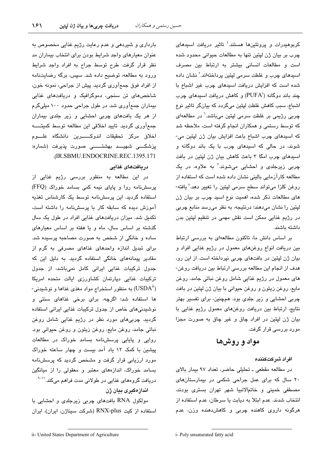کربوهیدرات و پروتئینها هستند.<sup>؛</sup> تاثیر دریافت اسیدهای چرب بر بيان ژن لپتين تنها به مطالعات حيواني محدود شده است و مطالعات انسانی بیشتر به ارتباط بین مصرف اسیدهای چرب و غلظت سرمی لپتین پرداختهاند. ْ نشان داده شده است كه افزايش دريافت اسيدهاى چرب غير اشباع با چند باند دوگانه (PUFA) و کاهش دریافت استدهای چرب اشباع، سبب کاهش غلظت لپتین میگردد که بیانگر تاثیر نوع چربی رژیمی بر غلظت سرمی لپتین میباشد.<sup>٦</sup> در مطالعهای که توسط رستمی و همکاران انجام گرفته است، ملاحظه شد كه اسيدهاى چرب اشباع باعث افزايش بيان ژن لپتين مى-شوند، در حالی که اسیدهای چرب با یک باند دوگانه و اسیدهای چرب امگا ۳ باعث کاهش بیان ژن لیتین در بافت چربی زیرجل*دی* و احشایی میشوند.<sup>۷</sup> به علاوه، در یک مطالعه کارآزمایی بالینی نشان داده شده است که استفاده از روغن كلزا مىتواند سطح سرمى ليتين را تغيير دهد.^ يافته-های مطالعات ذکر شده، اهمیت نوع اسید چرب بر بیان ژن لپتين را نشان مىدهند؛ درنتيجه، به نظر مىرسد منابع چربى در رژیم غذایی ممکن است نقش مهمی در تنظیم لپتین بدن داشته باشند.

بر اساس دانش ما، تاكنون مطالعهاى به بررسى ارتباط بين دريافت انواع روغنهاى معمول در رژيم غذايى افراد و بيان ژن لپتين در بافتهاى چربى نپرداخته است. از اين رو، هدف از انجام این مطالعه بررسی ارتباط بین دریافت روغن-های معمول در رژیم غذایی شامل روغن نباتی جامد، روغن مايع، روغن زيتون و روغن حيواني با بيان ژن لپتين در بافت چربی احشایی و زیر جلدی بود. همچنین، برای تفسیر بهتر نتایج، ارتباط بین دریافت روغنهای معمول رژیم غذایی با بيان ژن لپتين در افراد چاق و غير چاق به صورت مجزا مورد بررسے قرار گرفت.

# مواد و روشها

#### افراد شركتكننده

در مطالعه مقطعی ـ تحلیلی حاضر، تعداد ٩٧ بیمار بالای ۲۰ سال که برای عمل جراحی شکمی در بیمارستانهای مصطفى خمينى و خاتمالانبيا شهر تهران بسترى بودند، انتخاب شدند. عدم ابتلا به دیابت یا سرطان، عدم استفاده از هرگونه داروی کاهنده چربی و کاهش دهنده وزن، عدم

بارداری و شیردهی و عدم رعایت رژیم غذایی مخصوص به عنوان معیارهای واجد شرایط بودن برای انتخاب بیماران مد نظر قرار گرفت. طرح توسط جراح به افراد واجد شرايط ورود به مطالعه، توضیح داده شد. سپس، برگه رضایتنامه از افراد فوق جمعآوري گرديد. پيش از جراحي، نمونه خون، شاخصهای تن سنجی، دموگرافیک و دریافتهای غذایی بیماران جمعآوری شد. در طول جراحی حدود ۱۰۰ میلیگرم از هر یک بافتهای چربی احشایی و زیر جلدی بیماران جمع آوری گردید. تایید اخلاقی این مطالعه توسط کمیتـــــه اخلاق مركز تحقيقات اندوكــــــــرين دانشگاه علـــــوم پزشكــــى شەيــــد بەشتـــــــى صورت پذيرفت (شماره: .(IR.SBMU.ENDOCRINE.REC.1395.171

## دریافتهای غذایی

در این مطالعه به منظور بررسی رژیم غذایی از پرسشنامه روا و پایای نیمه کمی بسامد خوراک (FFQ) استفاده گردید. این پرسشنامه توسط یک کارشناس تغذیه آموزش دیده که سابقه کار با پرسشنامه را داشته است، تکمیل شد. میزان دریافتهای غذایی افراد در طول یک سال گذشته بر اساس سال، ماه و یا هفته بر اساس معیارهای ساده و خانگی از شخص به صورت مصاحبه پرسیده شد. برای تبدیل اندازه واحدهای غذاهای مصرفی به گرم از مقادیر پیمانههای خانگی استفاده گردید. به دلیل این که جدول ترکیبات غذایی ایرانی کامل نمیباشد، از جدول ترکیبات غذایی دپارتمان کشاورزی ایالت متحده امریکا - به منظور استخراج مواد مغذی غذاها و نوشیدنی)  $(\mathrm{USDA}^\mathrm{ii})$ ها استفاده شد؛ اگرچه، برای برخی غذاهای سنتی و نوشیدنی های خاص از جدول ترکیبات غذایی ایرانی استفاده گردید. چربیهای مورد نظر در رژیم غذایی شامل روغن نباتي جامد، روغن مايع، روغن زيتون و روغن حيواني بود. روایی و پایایی پرسشنامه بسامد خوراک در مطالعات پیشین با کمک ۱۲ یاد آمد بیست و چهار ساعته خوراک مورد ارزیابی قرار گرفت و مشخص گردید که پرسشنامه بسامد خوراک، اندازههای معتبر و معقولی را از میانگین دریافت گروههای غذایی در طولانی مدت فراهم میکند.<sup>\\-۱</sup> اندازهگیری بیان ژن

مولکول RNA بافتهای چربی زیرجلدی و احشایی با استفاده از کیت RNX-plus (شرکت سیناژن، ایران)، ایران

i- Poly unsaturated fatty acid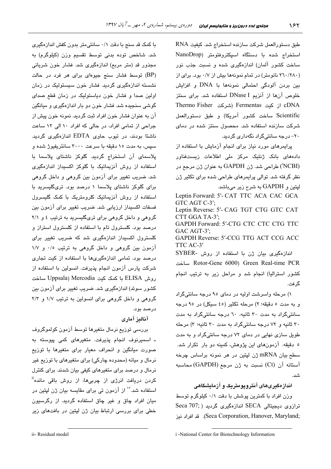طبق دستورالعمل شركت سازنده استخراج شد. كيفيت RNA  $\text{NanoDrop}$ ) استخراج شده با دستگاه اسپکتروفتومتر ساخت کشور المان) اندازهگیری شده و نسبت جذب نور (۲٦٠/٢٨٠ نانومتر) در تمام نمونهها بيش از ٠/٧ بود. براي از بین بردن آلودگی احتمالی نمونهها با DNA و افزایش خلوص آنها از آنزیم DNase I استفاده شد. برای سنتز Thermo Fisher شركت Fermentas از كيت cDNA Scientific ساخت كشور آمريكا) و طبق دستورالعمل شرکت سازنده استفاده شد. محصول سنتز شده در دما*ی* ۲۰– درجه سانتیگراد نگهدار*ی* گردید.

پرایمرهای مورد نیاز برای انجام آزمایش با استفاده از دادەھای بانک ژنتیک مرکز ملی اطلاعات زیستفناور (NCBI) طراحی شد. ژن GAPDH به عنوان ژن مرجع در نظر گرفته شد. توالی پرایمرها*ی* طراحی شده برا*ی* تکثیر ژن لپتین و GAPDH به شرح زیر میباشد.

Leptin Forward: 5'- CAT TTC ACA CAC GCA GTC AGT C-3'; Leptin Reverse: 5'- CAG TGT CTG GTC CAT CTT GGA TA-3': GAPDH Forward: 5'-CTG CTC CTC CTG TTC  $GAC AGT-3'$ : GAPDH Reverse: 5'-CCG TTG ACT CCG ACC TTC AC-3' اندازهگیری بیان ژن با استفاده از روش -SYBER 5. Rotor-Gene 6000) Green Real-time PCR كشور استراليا) انجام شد و مراحل زير به ترتيب انجام گر فت.

۱) مرحله واسرشت اولیه در دمای ۹۵ درجه سانتیگراد و به مدت ٥ دقيقه؛ ٢) مرحله تكثير (٤٥ سيكل) در ٩٥ درجه سانتیگراد به مدت ۳۰ ثانیه، ٦۰ درجه سانتیگراد به مدت ۳۰ ثانیه و ۷۲ درجه سانتیگراد به مدت ۳۰ ثانیه؛ ۳) مرحله طویل سازی نهایی در دمای ۷۲ درجه سانتیگراد و به مدت ه دقیقه. آزمونهای این پژوهش، کمینه دو بار تکرار شد. سطح بيان mRNA ژن لپتين در هر نمونه براساس چرخه آستانه آن (Ct) نسبت به ژن مرجع (GAPDH) محاسبه .<br>شد.

اندازهگیریهای انتروپومتریک و ازمایشگاهی

وزن افراد با کمترین پوشش با دقت ۰/۱ کیلوگرم توسط ترازوی دیجیتالی SECA اندازهگیری گردید ( ;Seca 707 1( %
\*% ! .(Seca Corporation, Hanover, Maryland;

با کمک قد سنج با دقت ۰/۱ سانتیمتر بدون کفش اندازهگیری شد. شاخص توده بدنی توسط تقسیم وزن (کیلوگرم) به مجذور قد (متر مربع) اندازهگیر*ی* شد. فشار خون شریانی (BP) توسط فشار سنج جیوهای برای هر فرد در حالت نشسته اندازهگیری گردید. فشار خون سیستولیک در زمان اولین صدا و فشار خون دیاستولیک در زمان قطع صدای گوش*ی* سنجیده شد. فشار خون دو بار اندازهگیر*ی* و میانگین آن به عنوان فشار خون افراد ثبت گردید. نمونه خون پیش از جراحی از تمامی افراد، در حالی که افراد ۱۰ الی ۱۲ ساعت ناشتا بودند، در تیوب حاوی EDTA اندازهگیری گردید. سیس، به مدت ۱۰ دقیقه با سرعت ۳۰۰۰ سانتریفیوژ شده و پلاسمای آن استخراج گردید. گلوکز ناشتای پلاسما با استفاده از روش انزیماتیک با گلوکز اکسیداز اندازهگیر*ی* شد. ضریب تغییر برا*ی* ازمون بین گروهی و داخل گروهی برا*ی* گلوکز ناشتا*ی* پلاسما ۱ درصد بود. تریگلیسرید با استفاده از روش انزیماتیک کلرومتریک با کمک گلیسرول فسفات اکسیداز ارزیابی شد. ضریب تغییر برای ازمون بین گروهی و داخل گروهی برای تریگلیسرید به ترتیب ٤ و ٢/١ درصد بود. کلسترول تام با استفاده از کلسترول استراز و کلسترول اکسیداز اندازهگیر*ی* شد که ضریب ت**غ**ییر برا*ی* ازمون بین گروهی و داخل گروهی به ترتیب ۰/٥ و ۱/۷ درصد بود. تمامی اندازهگیریها با استفاده از کیت تجار*ی* شرکت پارس ازمون انجام پذیرفت. انسولین با استفاده از روش ELISA با كمك كيت Mercodia Mercodia ساخت كشور سوئد) اندازهگيري شد. ضريب تغيير براي آزمون بين گروهی و داخل گروهی برای انسولین به ترتیب ۱/۷ و ۲/۳ درصد بود.

**انالیز اماری** 

بررسی توزیع نرمال متغیرها توسط ازمون کولموگروف ـ اسمیرنوف انجام پذیرفت. متغیرهای کمی پیوسته به صورت میانگین و انحراف معیار برای متغیرها با توزیع نرمال و میانه (محدوده چارکی) برا*ی* متغیرها*ی* با توزیع غیر نرمال و درصد برا*ی* متغیرها*ی* کیفی بیان شدند. برا*ی* کنترل کردن دریافت انرژ*ی* از چربیها، از روش باقی مانده<sup>اا</sup>ً استفاده شد.<sup>۱۷</sup> از آزمون ت*ی* برا*ی* مقایسه بیان ژن لپتین در میان افراد چاق و غیر چاق استفاده گردید. از رگرسیون خطی برا*ی* بررسی ارتباط بیان ژن لپتین در بافتهای زیر

ii- Residual model

i -National Center for Biotechnology Information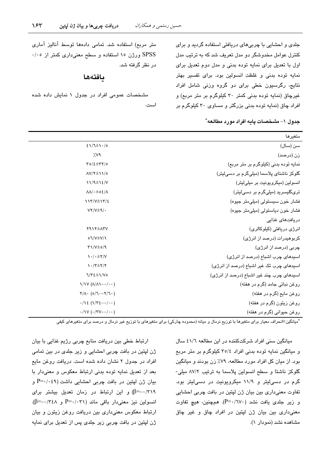جلدی و احشایی با چربیهای دریافتی استفاده گردید و برای کنترل عوامل مخدوشگر دو مدل تعریف شد که به ترتیب مدل اول با تعدیل برای نمایه توده بدنی و مدل دوم تعدیل برای نمایه توده بدنی و غلظت انسولین بود. برای تفسیر بهتر نتايج، رگرسيون خطى براى دو گروه وزنى شامل افراد غیرچاق (نمایه توده بدنی کمتر ۳۰ کیلوگرم بر متر مربع) و افراد چاق (نمایه توده بدنی بزرگتر و مساوی ۳۰ کیلوگرم بر

متر مربع) استفاده شد. تمامی دادهها توسط آنالیز آماری SPSS ورژن ۱۵ استفاده و سطح معنیداری کمتر از ۰/۰۰ در نظر گرفته شد.

## بافتهها

مشخصات عمومی افراد در جدول ۱ نمایش داده شده است.

|  | جدول ١- مشخصـات پايـه افراد مورد مطالـعه ّ |  |
|--|--------------------------------------------|--|
|--|--------------------------------------------|--|

| متغيرها                                   |                                                                  |
|-------------------------------------------|------------------------------------------------------------------|
| سن (سال)                                  | $21/7 \pm 1.6$                                                   |
| زن (درصد)                                 | $\gamma$                                                         |
| نمایه توده بدنی (کیلوگرم بر متر مربع)     | $\Upsilon o / \epsilon \pm \Upsilon \Upsilon / o$                |
| گلوکز ناشتای پلاسما (میلیگرم بر دسیلیتر)  | $\Lambda V/\Upsilon \pm 11/\circ$                                |
| انسولین (میکروپونیت بر میلی لیتر)         | $11/9 \pm 12/4$                                                  |
| تریگلیسرید (میلیگرم بر دسیلیتر)           | $\Lambda\Lambda/\cdot\pm o\,\epsilon/\Lambda$                    |
| فشار خون سیستولی (میلی متر جیوه)          | $117/V \pm 17/\epsilon$                                          |
| فشار خون دیاستولی (میلی متر جیوه)         | $VY/V\pm 1$ .                                                    |
| دریافتهای غذایی                           |                                                                  |
| انرژی دریافتی (کیلوکالری)                 | <b>TAITIMTV</b>                                                  |
| کربوهیدرات (درصد از انرژی)                | $o\Upsilon/V\pm V/\Upsilon$                                      |
| چربی (درصد از انرژی)                      | $\Upsilon\Upsilon/\Upsilon \pm o/\Upsilon$                       |
| اسیدهای چرب اشباع (درصد از انرژی)         | $\langle \cdot   \cdot \pm \tau   \vee$                          |
| اسیدهای چرب تک غیر اشباع (درصد از انرژی)  | $\gamma \cdot / \tau \pm \gamma / \tau$                          |
| اسیدهای چرب چند غیر اشباع (درصد از انرژی) | $7/\tau \epsilon \pm 1/\nu$ o                                    |
| روغن نباتی جامد (گرم در هفته)             | $\binom{1}{1}$                                                   |
| روغن مايع (گرم در هفته)                   | $Y/\Lambda \cdot (0/T - Y/T \cdot )$                             |
| روغن زيتون (گرم در هفته)                  | $\cdot/\gamma\epsilon$ ( $\gamma/\gamma\epsilon-\gamma/\gamma$ ) |
| روغن حيواني (گرم در هفته)                 | $\cdot/\gamma V (\cdot/\gamma V - \cdot/\cdot \cdot)$            |

\*میانگین±انحراف معیار برای متغیرها با توزیع نرمال و میانه (محدوده چارکی) برای متغیرهای با توزیع غیر نرمال و درصد برای متغیرهای کیفی

ارتباط خطی بین دریافت منابع چربی رژیم غذایی با بیان ژن لپتین در بافت چربی احشایی و زیر جلدی در بین تمامی افراد در جدول ٢ نشان داده شده است. دریافت روغن مایع بعد از تعدیل نمایه توده بدنی ارتباط معکوس و معنیدار با بيان ژن لپتين در بافت چربي احشايي داشت (P=٠/٠٤٩ و ۰/٣١٩-=β) و اين ارتباط در زمان تعديل بيشتر براى انسولين نيز معنى دار باقى ماند (P=٠/٠٣١ و β=-٠/٣٤٨). ارتباط معکوس معنی داری بین دریافت روغن زیتون و بیان ژن لپتین در بافت چربی زیر جلدی پس از تعدیل برای نمایه

میانگین سنی افراد شرکتکننده در این مطالعه ٤١/٦ سال و میانگین نمایه توده بدنی افراد ٢٥/٤ کیلوگرم بر متر مربع بود. از میان کل افراد مورد مطالعه، ۷۹٪ زن بودند و میانگین گلوکز ناشتا و سطح انسولین پلاسما به ترتیب ۸۷/۲ میلی-گرم در دستی لیتر و ۱۱/۹ میکروپونیت در دستی لیتر بود. تفاوت معنیداری بین بیان ژن لپتین در بافت چربی احشایی و زير جل*دى* يافت نشد (P=۰/٦٧٠). همچنين، هيچ تفاوت معنی،داری مین میان ژن لیتین در افراد چاق و غیر چاق مشاهده نشد (نمودار ١).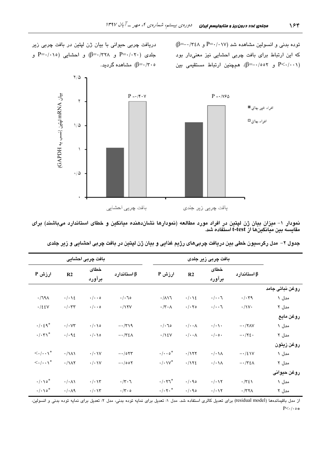$(\beta = -\cdot \wedge \kappa)$ توده بدنی و انسولین مشاهده شد (۲۰۱۷–P که این ارتباط برای بافت چربی احشایی نیز معنیدار بود  $\beta$ و ۰/۰۰۲). همچنین ارتباط مستقیمی بین (F-۰/۰۰۱)

دریافت چربی حیوانی با بیان ژن لپتین در بافت چربی زیر  $P = \cdot / \cdot \cdot$ جلدی  $P = \cdot / \cdot \cdot \cdot$  و  $P = \cdot / \cdot \cdot$  و احشایی (۱۰/۰۵ و  $\beta = \cdot/\tau \cdot \infty$ ) مشاهده گردید



نمودار ۱– میزان بیان ژن لپتین در افراد مورد مطالعه (نمودارها نشان،دهنده میانگین و خطای استاندارد میباشند) برای مقایسه بین میانگینها از t-test استفاده شد.

| بافت چربی احشایی                        |                             |                              |                                         |                                         | بافت چربی زیر جلدی       |                               |                                |                 |
|-----------------------------------------|-----------------------------|------------------------------|-----------------------------------------|-----------------------------------------|--------------------------|-------------------------------|--------------------------------|-----------------|
| ارزش P                                  | R2                          | خطاى<br>برآورد               | $\beta$ استاندار د                      | ارزش P                                  | R2                       | خطاى<br>برآورد                | $\beta$ استاندار د             |                 |
|                                         |                             |                              |                                         |                                         |                          |                               |                                | روغن نباتي جامد |
| .791                                    | $\cdot/\cdot\$              | $\cdot/\cdot\cdot$ 0         | $\cdot/\cdot$ 70                        | $\cdot/\lambda$ 17                      | $\cdot/\cdot\$           | $\cdot/\cdot\cdot$ ٦          | $\cdot/\cdot$ ۳۹               | مدل ۱           |
| .125V                                   | $\cdot/\cdot$ ۳۳            | $\cdot/\cdot\cdot$ 0         | .117V                                   | $\cdot/\tau\cdot\Lambda$                | $\cdot/\cdot\tau$        | $\cdot/\cdot\cdot$ ٦          | $\cdot/\gamma$                 | مدل ۲           |
|                                         |                             |                              |                                         |                                         |                          |                               |                                | روغن مايع       |
| $\cdot/\cdot\zeta\gamma^*$              | $\cdot/\cdot$ $\vee\tau$    | $\cdot/\cdot\cdot$ 0         | $-1719$                                 | $\cdot/\cdot$ 70                        | $\cdot/\cdot\cdot\wedge$ | $\cdot/\cdot \setminus \cdot$ | $-\cdot/Y\Lambda V$            | مدل ۱           |
| $\cdot/\cdot \tau$                      | .1.92                       | $\cdot/\cdot\cdot$ 0         | $-\cdot/\tau \epsilon \Lambda$          | .115V                                   | $\cdot/\cdot\cdot\wedge$ | $\cdot/\cdot \circ \cdot$     | $-\cdot/72$ .                  | مدل ۲           |
|                                         |                             |                              |                                         |                                         |                          |                               |                                | روغن زيتون      |
| $\langle \cdot/\cdot\cdot\rangle ^{*}$  | $\cdot/\lambda\lambda$      | $\cdot/\cdot\vee$            | $-105$                                  | $\cdot/\cdot\cdot$ $\circ$ <sup>*</sup> | .7177                    | $\cdot/\cdot \wedge$          | $-\cdot/2$ \V                  | مدل ۱           |
| $\langle \cdot   \cdot \cdot \rangle^*$ | $\cdot/\lambda\lambda\tau$  | $\cdot/\cdot \vee$           | $-\cdot/\circ\circ\tau$                 | $\cdot/\cdot \vee^*$                    | .1172                    | $\cdot/\cdot \wedge$          | $-\cdot/\tau \epsilon \Lambda$ | مدل ۲           |
|                                         |                             |                              |                                         |                                         |                          |                               |                                | روغن حيواني     |
| $\cdot/\cdot\cdot$ $\circ$ <sup>*</sup> | $\cdot/\cdot \wedge \wedge$ | $\cdot/\cdot \vee \tau$      | $\cdot$ / $\mathbf{r} \cdot \mathbf{r}$ | $\cdot/\cdot$ $\mathbf{7}^*$            | . / .90                  | $\cdot/\cdot$ \ $\Upsilon$    | $\cdot$ /٣٤١                   | مدل ۱           |
| $\cdot/\cdot\cdot$ $\circ$ <sup>*</sup> | $\cdot/\cdot \wedge$ ٩      | $\cdot/\cdot$ \ $\mathsf{Y}$ | $\cdot/\tau\cdot\circ$                  | $\cdot/\cdot\tau$ .*                    | . / .90                  | $\cdot/\cdot$ \ $\Upsilon$    | $\cdot$ /٣٢ $\wedge$           | مدل ۲           |

جدول ۲– مدل رگرسیون خطی بین دریافت چربیهای رژیم غذایی و بیان ژن لپتین در بافت چربی احشایی و زیر جلدی

از مدل باقیماندهها (residual model) برای تعدیل کالری استفاده شد. مدل ۱: تعدیل برای نمایه توده بدنی، مدل ۲: تعدیل برای نمایه توده بدنی و انسولین،  $P<\cdot/\cdot \circ *$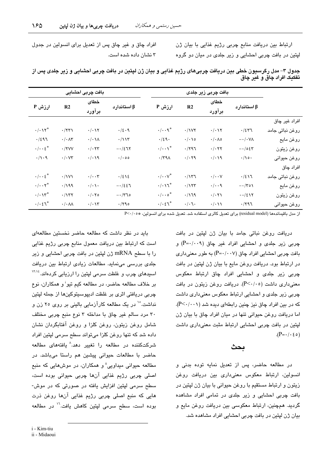ارتباط بین دریافت منابع چربی رژیم غذایی با بیان ژن لپتین در بافت چربی احشایی و زیر جلدی در میان دو گروه

افراد چاق و غیر چاق پس از تعدیل برای انسولین در جدول ۳ نشان داده شده است.

| بافت چربی احشایی              |                             |                               | بافت چربی زیر جلدی   |                               |                               |                            |                              |                    |
|-------------------------------|-----------------------------|-------------------------------|----------------------|-------------------------------|-------------------------------|----------------------------|------------------------------|--------------------|
| ارزش P                        | R <sub>2</sub>              | خطاى                          |                      |                               |                               | خطاى                       |                              |                    |
|                               |                             |                               | برآورد               | $\beta$ استاندار د            | ارزش P                        | R <sub>2</sub>             | برآورد                       | $\beta$ استاندار د |
|                               |                             |                               |                      |                               |                               |                            |                              | افراد غیر چاق      |
| $\cdot/\cdot\vee^*$           | $\cdot$ /۲۳ $\lambda$       | $\cdot/\cdot$ \ $\mathsf{Y}$  | .12.9                | $\cdot/\cdot\cdot\gamma^*$    | $\cdot$ /1VY                  | $\cdot/\cdot$ \ ۲          | .727                         | روغن نباتی جامد    |
| .7297                         | $\cdot/\cdot \wedge \tau$   | $\cdot/\cdot \wedge$          | $\cdot/\prime\$      | $\cdot$ /٤٩ $\cdot$           | $\cdot/\cdot \setminus \circ$ | $\cdot/\cdot \wedge \circ$ | $-\cdot/\cdot\forall\lambda$ | روغن مايع          |
| $\cdot/\cdot\cdot\epsilon^*$  | $\cdot$ /۲۷۷                | $\cdot$ / $\cdot$ $\tau\tau$  | $-127$               | $\cdot/\cdot\cdot$ \*         | .797                          | $\cdot$ / $\cdot$ ۲۲       | $-105$                       | روغن زيتون         |
| $\cdot/\cdot$ 9               | $\cdot/\cdot$ $\vee\tau$    | . / 9                         | $\cdot$ / $\cdot$ 00 | $\cdot$ /۳۹۸                  | . / . 79                      | $\cdot/\cdot$ 19           | $\cdot/\rho$ .               | روغن حيوانى        |
|                               |                             |                               |                      |                               |                               |                            |                              | افراد چاق          |
| $\cdot/\cdot\cdot\epsilon^*$  | $\cdot$ /1V1                | $\cdot/\cdot\cdot$ ۳          | $\cdot$ /٤١٤         | $\cdot/\cdot\cdot\vee^{*}$    | $\cdot$ /۱۳٦                  | $\cdot/\cdot\cdot$ $\vee$  | $\cdot/2$ 17                 | روغن نباتی جامد    |
| $\cdot/\cdot\cdot\tau^*$      | .799                        | $\cdot/\cdot \setminus \cdot$ | $-1257$              | $\cdot/\cdot\vee\tau^*$       | $\cdot/155$                   | $\cdot/\cdot\cdot$ ٩       | $-\cdot/\tau$ ۰۱             | روغن مايع          |
| $\cdot/\cdot\vee^*$           | .1177                       | $\cdot/\cdot\cdot$ $\circ$    | $-\cdot$ /٣٦٥        | $\cdot/\cdot\cdot\circ^*$     | .719                          | $\cdot/\cdot$ ۲۱           | $\cdot$ -/٤١٢                | روغن زيتون         |
| $\cdot/\cdot\,$ $\zeta\tau^*$ | $\cdot/\cdot \wedge \wedge$ | $\cdot/\cdot$ \ $\mathsf{r}$  | .790                 | $\cdot/\cdot\,$ $\zeta\tau^*$ | $\cdot/\cdot$ 7.              | $\cdot/\cdot$ \ \          | .797                         | روغن حيوانى        |

جدول ۳– مدل رگرسیون خطی بین دریافت چربیهای رژیم غذایی و بیان ژن لیتین در بافت چربی احشایی و زیر جلدی پس از تفکیک افراد چاق و غیر چاق

از مدل باقیماندهها (residual model) برای تعدیل کالری استفاده شد. تعدیل شده برای انسولین، \*۲۰/۰۵

دریافت روغن نباتی جامد با بیان ژن لپتین در بافت چربی زیر جلدی و احشایی افراد غیر چاق (P=٠/٠٠٩) و بافت چربی احشایی افراد چاق (۲۰۰۷/ -P) به طور معنیداری در ارتباط بود. دریافت روغن مایع با بیان ژن لپتین در بافت چربی زیر جلدی و احشایی افراد چاق ارتباط معکوس معنم داری داشت (P<۰/۰٥). دریافت روغن زیتون در بافت چربی زیر جلدی و احشایی ارتباط معکوس معنیداری داشت که در بین افراد چاق نیز چنین رابطهای دیده شد (۲۰۰۱/-P). اما دریافت روغن حیوانی تنها در میان افراد چاق با بیان ژن لپتین در بافت چربی احشایی ارتباط مثبت معنیداری داشت  $(P = \cdot / \cdot \varepsilon \circ)$ 

## بحث

در مطالعه حاضر، پس از تعدیل نمایه توده بدنی و انسولین، ارتباط معکوس معنیداری بین دریافت روغن زیتون و ارتباط مستقیم با روغن حیوانی با بیان ژن لپتین در بافت چربی احشایی و زیر جلدی در تمامی افراد مشاهده گردید. همچنین، ارتباط معکوسی بین دریافت روغن مایع و سان ژن لیتین در یافت چربی احشایی افراد مشاهده شد.

باید در نظر داشت که مطالعه حاضر نخستین مطالعهای است که ارتباط بین دریافت معمول منابع چربی رژیم غذایی را با سطح mRNA ژن لپتین در بافت چربی احشایی و زیر جلدی بررسی می نماید. مطالعات زیادی ارتباط بین دریافت اسیدهای چرب و غلظت سرمی لپتین را ارزیابی کردهاند.<sup>۱۳٬۱۶</sup> بر خلاف مطالعه حاضر، در مطالعه کیم تیو<sup>:</sup> و همکاران، نوع چربی دریافتی اثری بر غلظت ادیپوسیتوکینها از جمله لپتین نداشت. ۱٬ در یک مطالعه کارآزمایی بالینی بر روی ۲۵ زن و ٣٠ مرد سالم غير چاق با مداخله ٣ نوع منبع چربي مختلف شامل روغن زيتون، روغن كلزا و روغن آفتابگردان نشان داده شد که تنها روغن کلزا میتواند سطح سرمی لپتین افراد شرکتکننده در مطالعه را تغییر د*هد*.<sup>۸</sup> یافته*های* مطالعه حاضر با مطالعات حیوانی پیشین هم راستا میباشد. در مطالعه حیوانی میداویی" و همکاران، در موشهایی که منبع اصلي چربي رژيم غذايي آنها چربي حيواني بوده است، سطح سرمی لپتین افزایش یافته در صورتی که در موش-هايي که منبع اصلي چربي رژيم غذايي آنها روغن ذرت بوده است، سطح سرمی لیتین کاهش یافت.<sup>۱٬</sup> در مطالعه

i - Kim-tiu

ii - Midaoui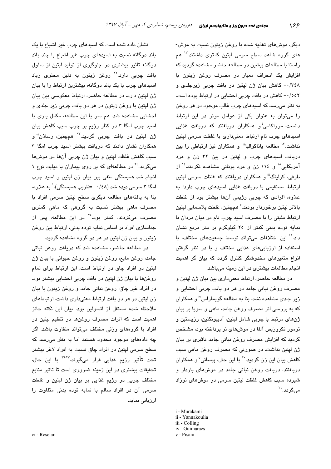دیگر، موشهای تغذیه شده با روغن زیتون نسبت به موش-ها*ی* گروه شاهد سطح سرمی لپتین کمتری داشتند.<sup>۱۷</sup> هم راستا با مطالعات پیشین در مطالعه حاضر مشاهده گردید که افزایش یک انحراف معیار در مصرف روغن زیتون با ٠/٣٤٨ كاهش بيان ژن لپتين در بافت چربي زيرجلدي و ٠/٥٥٢ كاهش در بافت چربي احشايي در ارتباط بوده است. به نظر میرسد که اسپدهای چرب غالب موجود در هر روغن را میتوان به عنوان یکی از عوامل موثر در این ارتباط دانست. موراکامی<sup>:</sup> و همکاران دریافتند که دریافت غذایی اسیدهای چرب تام ارتباط معنی داری با غلظت سرمی لپتین نداشت.<sup>۱۲</sup> مطالعه یاناکوالیا<sup>ة</sup> و همکاران نیز ارتباطی را بین دریافت اسیدهای چرب و لیتین در بین ۳۲ زن و مرد آمریکایی" و ١١٤ زن و مرد یونانی مشاهده نکردند.<sup>١٤</sup> از طرفی، کولینگ<sup>ا</sup>" و همکاران دریافتند که غلظت سرمی لپتین ارتباط مستقیمی یا دریافت غذایی استدهای چرب دارد؛ به علاوه، افرادی که چربی رژیمی آنها بیشتر بود از غلظت بالاتر لپتين برخوردار بودند. ْ همچنين، غلظت پلاسمايي لپتين ارتباط مثبتی را با مصرف اسید چرب تام در میان مردان با نمایه توده بدنی کمتر از ۲۰ کیلوگرم بر متر مربع نشان داد. `` این اختلافات میتواند توسط جمعیتهای مختلف، با استفاده از ارزیابی های غذایی مختلف و با در نظر گرفتن انواع متغیرهای مخدوشگر کنترل گردد که بیان گر اهمیت انجام مطالعات بیشتری در این زمینه میباشد.

در مطالعه حاضر، ارتباط معنىدارى بين بيان ژن لپتين و مصرف روغن نباتی جامد در هر دو بافت چربی احشایی و زیر جل*دی* مشاهده نشد. بنا به مطالعه گویماراس" و همکاران که به بررسی اثر مصرف روغن جامد، ماهی و سویا بر بیان ژنهای مرتبط با چربی شامل لپتین، آدیپونکتین، رزیستین و تومور نکروزیس آلفا در موشهای نر پرداخته بود، مشخص گردید که افزایش مصرف روغن نباتی جامد تاثیری بر بیان ژن لپتین نداشت. در صورتی که مصرف روغن ماهی سبب کاهش بیان این ژن گردید.<sup>۲۰</sup> با این حال، پیسانی<sup>٬</sup> و همکاران دریافتند، دریافت روغن نباتی جامد در موشهای باردار و شیرده سبب کاهش غلظت لیتین سرمی در موشهای نوزاد مے گر دد.<sup>۲۱</sup>

i - Murakami

- iii Colling
- iv Guimaraes

نشان داده شده است که اسیدهای چرب غیر اشباع با یک باند دوگانه نسبت به اسیدهای چرب غیر اشباع با چند باند دوگانه تاثیر بیشتری در جلوگیری از تولید لپتین از سلول بافت چربی دارد.<sup>۲۲</sup> روغن زیتون به دلیل محتوی زیاد اسیدهای چرب با یک باند دوگانه، بیشترین ارتباط را با بیان ژن لیتین دارد. در مطالعه حاضر، ارتباط معکوسی بین بیان ژن لپتین با روغن زیتون در هر دو بافت چربی زیر جلدی و احشایی مشاهده شد. هم سو با این مطالعه، مکمل یاری با اسيد چرب امگا ۳ در کنار رژيم پر چرب سبب کاهش بيان ژن لپتين در بافت چربي گرديد.<sup>۲۲</sup> همچنين، رسلان<sup>ن</sup>'و همکاران نشان دادند که دریافت بیشتر اسید چرب امگا ۳ سبب کاهش غلظت ليتين و بيان ژن چربي آنها در موشها میگردد.<sup>۲٤</sup> در مطالعهای که بر روی بیماران با دیابت نوع ۱ انجام شد همبستگی منفی بین بیان ژن لپتین و اسید چرب امگا ۳ سرمی دیده شد (۰/٤٨– خلریب همیستگی).` به علاوه، بنا به یافتههای مطالعه دیگری سطح لپتین سرمی افراد با مصرف ماهی بیشتر نسبت به گروهی که ماهی کمتری مصرف میکردند، کمتر بود.<sup>۲</sup>° در این مطالعه، یس از جداسازی افراد بر اساس نمایه توده بدنی، ارتباط بین روغن زیتون و بیان ژن لپتین در هر دو گروه مشاهده گردید.

در مطالعه حاضر، مشاهده شد که دریافت روغن نباتی جامد، روغن مايع، روغن زيتون و روغن حيواني با بيان ژن لپتین در افراد چاق در ارتباط است. این ارتباط برای تمام روغنها با بیان ژن لپتین در بافت چربی احشایی بیشتر بود. در افراد غیر چاق، روغن نباتی جامد و روغن زیتون با بیان ژن لپتین در هر دو بافت ارتباط معنیداری داشت. ارتباطهای ملاحظه شده مستقل از انسولین بود. بیان این نکته حائز اهمیت است که اثرات مصرف روغنها در تنظیم لپتین در افراد با گروههای وزنی مختلف میتواند متفاوت باشد. اگر چه دادههای موجود محدود هستند اما به نظر می رسد که سطح سرمی لپتین در افراد چاق نسبت به افراد لاغر بیشتر تحت تأثير رژيم غذايی قرار میگيرند.<sup>۲٦،۲۷</sup> با اين حال، تحقیقات بیشتری در این زمینه ضروری است تا تاثیر منابع مختلف چربی در رژیم غذایی بر بیان ژن لپتین و غلظت سرمی آن در افراد سالم با نمایه توده بدنی متفاوت را ارزیابی نماید.

ii - Yannakoulia

v - Pisani

vi - Reselan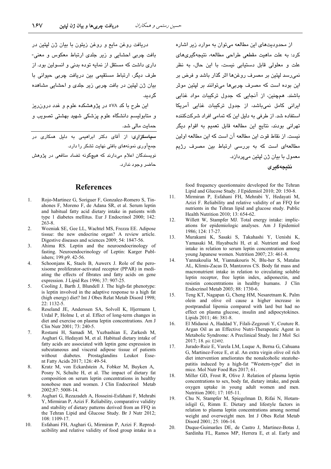از محدودیتهای این مطالعه می توان به موارد زیر اشاره کرد: به علت ماهیت مقطعی طراحی مطالعه، نتیجهگیریهای علت و معلولی قابل دستبانی نیست، با این حال، به نظر نمی رسد لیتین بر مصرف روغنها اثر گذار باشد و فرض بر اين بوده است كه مصرف چربي ها مي توانند بر ليتين موثر ۔<br>پاشند. همچنین، از آنجایی که جدول ترکیبات مواد غذایی ایرانی کامل نمیباشد، از جدول ترکیبات غذایی آمریکا استفاده شد. از طرفی به دلیل این که تمامی افراد شرکتکننده تھرانی بودند، نتایج این مطالعه قابل تعمیم به اقوام دیگر نست. از نقاط قوت این مطالعه آن است که این مطالعه اولین مطالعهای است که به بررسی ارتباط بین مصرف رژیم معمول یا بیان ژن لیتین مےپردازد.

نتىجەگىرى

food frequency questionnaire developed for the Tehran Lipid and Glucose Study. J Epidemiol 2010; 20: 150-8.

- 11. Mirmiran P, Esfahani FH, Mehrabi Y, Hedayati M, Azizi F. Reliability and relative validity of an FFQ for nutrients in the Tehran lipid and glucose study. Public Health Nutrition 2010; 13: 654-62.
- $12$ Willett W, Stampfer MJ. Total energy intake: implications for epidemiologic analyses. Am J Epidemiol 1986; 124: 17-27.
- Murakami K, Sasaki S, Takahashi Y, Uenishi K, 13. Yamasaki M, Hayabuchi H, et al. Nutrient and food intake in relation to serum leptin concentration among young Japanese women. Nutrition 2007; 23: 461-8.
- $14$ Yannakoulia M, Yiannakouris N, Blu-her S, Matalas AL, Klimis-Zacas D. Mantzoros CS. Body fat mass and macronutrient intake in relation to circulating soluble leptin receptor, free leptin index, adiponectin, and resistin concentrations in healthy humans. J Clin Endocrinol Metab 2003; 88: 1730-6.
- Teng KT, Nagapan G, Cheng HM, Nesaretnam K. Palm  $15.$ olein and olive oil cause a higher increase in postprandial lipemia compared with lard but had no effect on plasma glucose, insulin and adipocytokines. Lipids 2011; 46: 381-8.
- El Midaoui A, Haddad Y, Filali-Zegzouti Y, Couture R. 16 Argan Oil as an Effective Nutri-Therapeutic Agent in Metabolic Syndrome: A Preclinical Study. Int J Mol Sci 2017; 18. pii: E2492.
- 17. Jurado-Ruiz E, Varela LM, Luque A, Berna G, Cahuana G, Martinez-Force E, et al. An extra virgin olive oil rich diet intervention ameliorates the nonalcoholic steatohepatitis induced by a high-fat "Western-type" diet in mice. Mol Nutr Food Res 2017; 61.
- 18. Miller GD, Frost R, Olive J. Relation of plasma leptin concentrations to sex, body fat, dietary intake, and peak oxygen uptake in young adult women and men. Nutrition 2001: 17: 105-11.
- 19. Chu N, Stampfer M, Spiegelman D, Rifai N, Hotamisligil G, Rimm E. Dietary and lifestyle factors in relation to plasma leptin concentrations among normal weight and overweight men. Int J Obes Relat Metab Disord 2001; 25: 106-14.
- Duque-Guimarães DE, de Castro J, Martinez-Botas J,  $20$ Sardinha FL, Ramos MP, Herrera E, et al. Early and

دریافت روغن مایع و روغن زیتون با بیان ژن لیتین در بافت چربی احشایی و زیر جلدی ارتباط معکوس و معنی-داری داشت که مستقل از نمایه توده بدنی و انسولین بود. از طرف ديگر، ارتباط مستقيمي بين دريافت چربي حيواني با بیان ژن لیتین در بافت چربی زیر جلدی و احشایی مشاهده گ دىد.

این طرح با کد ٥٧٨ در پژوهشکده علوم و غدد درون ریز و متابولیسم دانشگاه علوم پزشکی شهید بهشتی تصویب و حمایت مالے شد.

<mark>سپاسگزاری</mark>: از آقای دکتر ابراهیمی به دلیل همکاری در جمعآوری نمونههای بافتی نهایت تشکر را دارد.

نویسندگان اعلام میدارند که هیچگونه تضاد منافعی در پژوهش حاضر. وحو د ندار د.

#### **References**

- Rojo-Martinez G. Soriguer F. Gonzalez-Romero S. Tin- $1.$ ahones F, Moreno F, de Adana SR, et al. Serum leptin and habitual fatty acid dietary intake in patients with type 1 diabetes mellitus. Eur J Endocrinol 2000; 142:  $263 - 8$ .
- $\overline{2}$ . Wozniak SE, Gee LL, Wachtel MS, Frezza EE. Adipose tissue: the new endocrine organ? A review article. Digestive diseases and sciences 2009; 54: 1847-56.
- $\overline{3}$ . Ahima RS. Leptin and the neuroendocrinology of fasting. Neuroendocrinology of Leptin: Karger Publishers; 199.p9. 42-56.
- $\overline{4}$ . Schoonjans K, Staels B, Auwerx J. Role of the peroxisome proliferator-activated receptor (PPAR) in mediating the effects of fibrates and fatty acids on gene expression. J Lipid Res 1996; 37: 907-25.
- $\overline{5}$ Cooling J, Barth J, Blundell J. The high-fat phenotype: is leptin involved in the adaptive response to a high fat (high energy) diet? Int J Obes Relat Metab Disord 1998;  $22:1132-5.$
- Reseland JE, Anderssen SA, Solvoll K, Hjermann I, 6 Urdal P, Holme I, et al. Effect of long-term changes in diet and exercise on plasma leptin concentrations. Am J Clin Nutr 2001; 73: 240-5.
- 7. Rostami H, Samadi M, Yuzbashian E, Zarkesh M, Asghari G, Hedayati M, et al. Habitual dietary intake of fatty acids are associated with leptin gene expression in subcutaneous and visceral adipose tissue of patients without diabetes. Prostaglandins Leukot Essent Fatty Acids 2017; 126: 49-54.
- 8. Kratz M, von Eckardstein A, Fobker M, Buyken A, Posny N, Schulte H, et al. The impact of dietary fat composition on serum leptin concentrations in healthy nonobese men and women. J Clin Endocrinol Metab 2002;87: 5008-14.
- 9. Asghari G, Rezazadeh A, Hosseini-Esfahani F, Mehrabi Y, Mirmiran P, Azizi F. Reliability, comparative validity and stability of dietary patterns derived from an FFQ in the Tehran Lipid and Glucose Study. Br J Nutr 2012; 108: 1109-17.
- 10. Esfahani FH, Asghari G, Mirmiran P, Azizi F. Reproducibility and relative validity of food group intake in a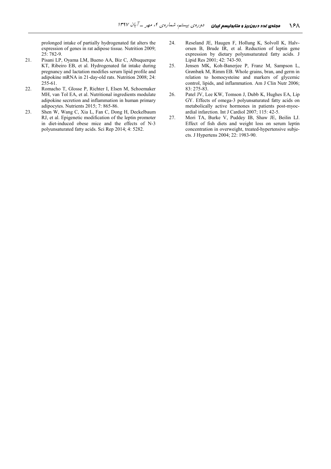prolonged intake of partially hydrogenated fat alters the expression of genes in rat adipose tissue. Nutrition 2009; 25: 782-9.

- 21. Pisani LP, Oyama LM, Bueno AA, Biz C, Albuquerque KT, Ribeiro EB, et al. Hydrogenated fat intake during pregnancy and lactation modifies serum lipid profile and adipokine mRNA in 21-day-old rats. Nutrition 2008; 24: 255-61.
- 22. Romacho T, Glosse P, Richter I, Elsen M, Schoemaker MH, van Tol EA, et al. Nutritional ingredients modulate adipokine secretion and inflammation in human primary adipocytes. Nutrients 2015; 7: 865-86.
- 23. Shen W, Wang C, Xia L, Fan C, Dong H, Deckelbaum RJ, et al. Epigenetic modification of the leptin promoter in diet-induced obese mice and the effects of N-3 polyunsaturated fatty acids. Sci Rep 2014; 4: 5282.
- 24. Reseland JE, Haugen F, Hollung K, Solvoll K, Halvorsen B, Brude IR, et al. Reduction of leptin gene expression by dietary polyunsaturated fatty acids. J Lipid Res 2001; 42: 743-50.
- 25. Jensen MK, Koh-Banerjee P, Franz M, Sampson L, Grønbæk M, Rimm EB. Whole grains, bran, and germ in relation to homocysteine and markers of glycemic control, lipids, and inflammation. Am J Clin Nutr 2006; 83: 275-83.
- 26. Patel JV, Lee KW, Tomson J, Dubb K, Hughes EA, Lip GY. Effects of omega-3 polyunsaturated fatty acids on metabolically active hormones in patients post-myocardial infarction. Int J Cardiol 2007; 115: 42-5.
- 27. Mori TA, Burke V, Puddey IB, Shaw JE, Beilin LJ. Effect of fish diets and weight loss on serum leptin concentration in overweight, treated-hypertensive subjects. J Hypertens 2004; 22: 1983-90.